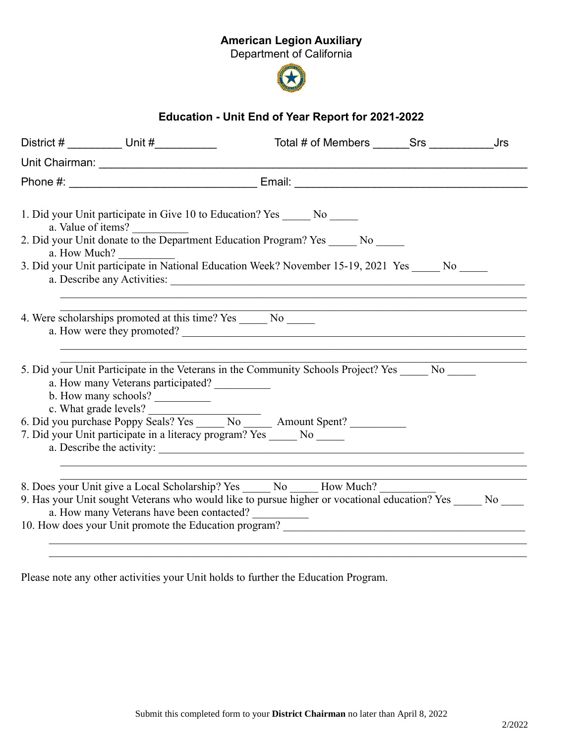## American Legion Auxiliary

Department of California



## Education - Unit End of Year Report for 2021-2022

| a. Value of items?                                                |                                                            | 1. Did your Unit participate in Give 10 to Education? Yes _______ No ______                                                                                                               |  |  |
|-------------------------------------------------------------------|------------------------------------------------------------|-------------------------------------------------------------------------------------------------------------------------------------------------------------------------------------------|--|--|
| a. How Much?                                                      |                                                            | 2. Did your Unit donate to the Department Education Program? Yes No                                                                                                                       |  |  |
|                                                                   |                                                            | 3. Did your Unit participate in National Education Week? November 15-19, 2021 Yes No                                                                                                      |  |  |
| 4. Were scholarships promoted at this time? Yes _______ No ______ |                                                            | a. How were they promoted?                                                                                                                                                                |  |  |
| c. What grade levels?                                             | a. How many Veterans participated?<br>b. How many schools? | 5. Did your Unit Participate in the Veterans in the Community Schools Project? Yes No                                                                                                     |  |  |
|                                                                   |                                                            | 6. Did you purchase Poppy Seals? Yes _____ No ______ Amount Spent? __________<br>7. Did your Unit participate in a literacy program? Yes ______ No ______                                 |  |  |
|                                                                   | a. How many Veterans have been contacted?                  | 8. Does your Unit give a Local Scholarship? Yes ______ No ______ How Much?<br>9. Has your Unit sought Veterans who would like to pursue higher or vocational education? Yes _____ No ____ |  |  |
|                                                                   |                                                            | 10. How does your Unit promote the Education program? ___________________________                                                                                                         |  |  |

Please note any other activities your Unit holds to further the Education Program.